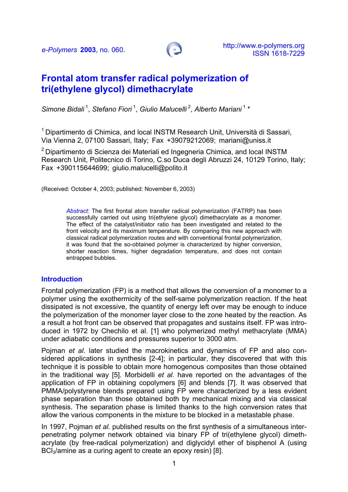

# **Frontal atom transfer radical polymerization of tri(ethylene glycol) dimethacrylate**

*Simone Bidali* 1, *Stefano Fiori* 1, *Giulio Malucelli* 2, *Alberto Mariani* 1 \*

 $1$  Dipartimento di Chimica, and local INSTM Research Unit, Università di Sassari, Via Vienna 2, 07100 Sassari, Italy; Fax +39079212069; [mariani@uniss.it](mailto:mariani@uniss.it)

 $2$  Dipartimento di Scienza dei Materiali ed Ingegneria Chimica, and local INSTM Research Unit, Politecnico di Torino, C.so Duca degli Abruzzi 24, 10129 Torino, Italy; Fax +390115644699; [giulio.malucelli@polito.it](mailto:giulio.malucelli@polito.it)

(Received: October 4, 2003; published: November 6, 2003)

*Abstract:* The first frontal atom transfer radical polymerization (FATRP) has been successfully carried out using tri(ethylene glycol) dimethacrylate as a monomer. The effect of the catalyst/initiator ratio has been investigated and related to the front velocity and its maximum temperature. By comparing this new approach with classical radical polymerization routes and with conventional frontal polymerization, it was found that the so-obtained polymer is characterized by higher conversion, shorter reaction times, higher degradation temperature, and does not contain entrapped bubbles.

#### **Introduction**

Frontal polymerization (FP) is a method that allows the conversion of a monomer to a polymer using the exothermicity of the self-same polymerization reaction. If the heat dissipated is not excessive, the quantity of energy left over may be enough to induce the polymerization of the monomer layer close to the zone heated by the reaction. As a result a hot front can be observed that propagates and sustains itself. FP was introduced in 1972 by Chechilo et al. [1] who polymerized methyl methacrylate (MMA) under adiabatic conditions and pressures superior to 3000 atm.

Pojman *et al.* later studied the macrokinetics and dynamics of FP and also considered applications in synthesis [2-4]; in particular, they discovered that with this technique it is possible to obtain more homogenous composites than those obtained in the traditional way [5]. Morbidelli *et al.* have reported on the advantages of the application of FP in obtaining copolymers [6] and blends [7]. It was observed that PMMA/polystyrene blends prepared using FP were characterized by a less evident phase separation than those obtained both by mechanical mixing and via classical synthesis. The separation phase is limited thanks to the high conversion rates that allow the various components in the mixture to be blocked in a metastable phase.

In 1997, Pojman *et al.* published results on the first synthesis of a simultaneous interpenetrating polymer network obtained via binary FP of tri(ethylene glycol) dimethacrylate (by free-radical polymerization) and diglycidyl ether of bisphenol A (using BCl<sub>3</sub>/amine as a curing agent to create an epoxy resin) [8].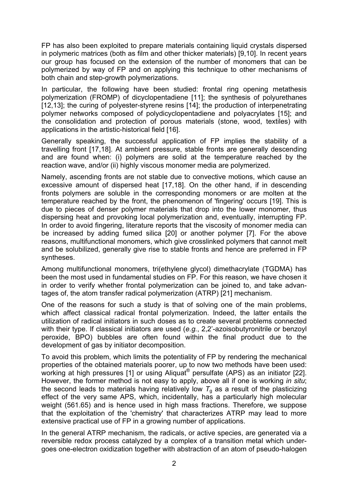FP has also been exploited to prepare materials containing liquid crystals dispersed in polymeric matrices (both as film and other thicker materials) [9,10]. In recent years our group has focused on the extension of the number of monomers that can be polymerized by way of FP and on applying this technique to other mechanisms of both chain and step-growth polymerizations.

In particular, the following have been studied: frontal ring opening metathesis polymerization (FROMP) of dicyclopentadiene [11]; the synthesis of polyurethanes [12,13]; the curing of polyester-styrene resins [14]; the production of interpenetrating polymer networks composed of polydicyclopentadiene and polyacrylates [15]; and the consolidation and protection of porous materials (stone, wood, textiles) with applications in the artistic-historical field [16].

Generally speaking, the successful application of FP implies the stability of a travelling front [17,18]. At ambient pressure, stable fronts are generally descending and are found when: (i) polymers are solid at the temperature reached by the reaction wave, and/or (ii) highly viscous monomer media are polymerized.

Namely, ascending fronts are not stable due to convective motions, which cause an excessive amount of dispersed heat [17,18]. On the other hand, if in descending fronts polymers are soluble in the corresponding monomers or are molten at the temperature reached by the front, the phenomenon of 'fingering' occurs [19]. This is due to pieces of denser polymer materials that drop into the lower monomer, thus dispersing heat and provoking local polymerization and, eventually, interrupting FP. In order to avoid fingering, literature reports that the viscosity of monomer media can be increased by adding fumed silica [20] or another polymer [7]. For the above reasons, multifunctional monomers, which give crosslinked polymers that cannot melt and be solubilized, generally give rise to stable fronts and hence are preferred in FP syntheses.

Among multifunctional monomers, tri(ethylene glycol) dimethacrylate (TGDMA) has been the most used in fundamental studies on FP. For this reason, we have chosen it in order to verify whether frontal polymerization can be joined to, and take advantages of, the atom transfer radical polymerization (ATRP) [21] mechanism.

One of the reasons for such a study is that of solving one of the main problems, which affect classical radical frontal polymerization. Indeed, the latter entails the utilization of radical initiators in such doses as to create several problems connected with their type. If classical initiators are used (*e.g.*, 2,2'-azoisobutyronitrile or benzoyl peroxide, BPO) bubbles are often found within the final product due to the development of gas by initiator decomposition.

To avoid this problem, which limits the potentiality of FP by rendering the mechanical properties of the obtained materials poorer, up to now two methods have been used: working at high pressures [1] or using Aliquat® persulfate (APS) as an initiator [22]. However, the former method is not easy to apply, above all if one is working *in situ*; the second leads to materials having relatively low  $T<sub>g</sub>$  as a result of the plasticizing effect of the very same APS, which, incidentally, has a particularly high molecular weight (561.65) and is hence used in high mass fractions. Therefore, we suppose that the exploitation of the 'chemistry' that characterizes ATRP may lead to more extensive practical use of FP in a growing number of applications.

In the general ATRP mechanism, the radicals, or active species, are generated via a reversible redox process catalyzed by a complex of a transition metal which undergoes one-electron oxidization together with abstraction of an atom of pseudo-halogen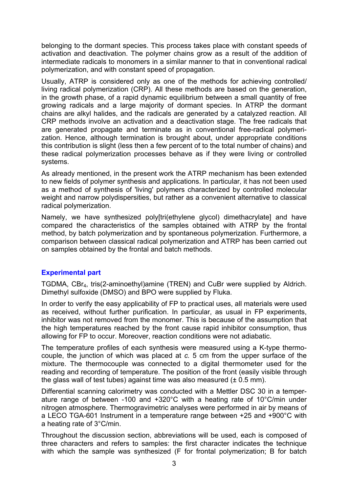belonging to the dormant species. This process takes place with constant speeds of activation and deactivation. The polymer chains grow as a result of the addition of intermediate radicals to monomers in a similar manner to that in conventional radical polymerization, and with constant speed of propagation.

Usually, ATRP is considered only as one of the methods for achieving controlled/ living radical polymerization (CRP). All these methods are based on the generation, in the growth phase, of a rapid dynamic equilibrium between a small quantity of free growing radicals and a large majority of dormant species. In ATRP the dormant chains are alkyl halides, and the radicals are generated by a catalyzed reaction. All CRP methods involve an activation and a deactivation stage. The free radicals that are generated propagate and terminate as in conventional free-radical polymerization. Hence, although termination is brought about, under appropriate conditions this contribution is slight (less then a few percent of to the total number of chains) and these radical polymerization processes behave as if they were living or controlled systems.

As already mentioned, in the present work the ATRP mechanism has been extended to new fields of polymer synthesis and applications. In particular, it has not been used as a method of synthesis of 'living' polymers characterized by controlled molecular weight and narrow polydispersities, but rather as a convenient alternative to classical radical polymerization.

Namely, we have synthesized poly[tri(ethylene glycol) dimethacrylate] and have compared the characteristics of the samples obtained with ATRP by the frontal method, by batch polymerization and by spontaneous polymerization. Furthermore, a comparison between classical radical polymerization and ATRP has been carried out on samples obtained by the frontal and batch methods.

# **Experimental part**

TGDMA, CBr4, tris(2-aminoethyl)amine (TREN) and CuBr were supplied by Aldrich. Dimethyl sulfoxide (DMSO) and BPO were supplied by Fluka.

In order to verify the easy applicability of FP to practical uses, all materials were used as received, without further purification. In particular, as usual in FP experiments, inhibitor was not removed from the monomer. This is because of the assumption that the high temperatures reached by the front cause rapid inhibitor consumption, thus allowing for FP to occur. Moreover, reaction conditions were not adiabatic.

The temperature profiles of each synthesis were measured using a K-type thermocouple, the junction of which was placed at *c.* 5 cm from the upper surface of the mixture. The thermocouple was connected to a digital thermometer used for the reading and recording of temperature. The position of the front (easily visible through the glass wall of test tubes) against time was also measured  $(\pm 0.5 \text{ mm})$ .

Differential scanning calorimetry was conducted with a Mettler DSC 30 in a temperature range of between -100 and +320°C with a heating rate of 10°C/min under nitrogen atmosphere. Thermogravimetric analyses were performed in air by means of a LECO TGA-601 Instrument in a temperature range between +25 and +900°C with a heating rate of 3°C/min.

Throughout the discussion section, abbreviations will be used, each is composed of three characters and refers to samples: the first character indicates the technique with which the sample was synthesized (F for frontal polymerization; B for batch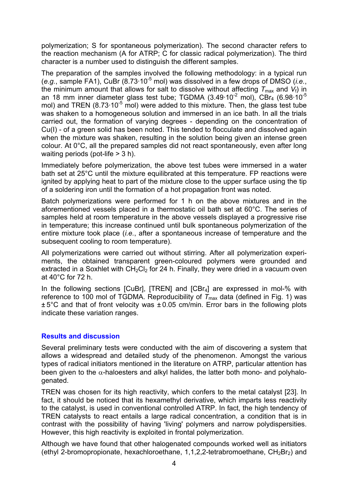polymerization; S for spontaneous polymerization). The second character refers to the reaction mechanism (A for ATRP; C for classic radical polymerization). The third character is a number used to distinguish the different samples.

The preparation of the samples involved the following methodology: in a typical run (*e.g.*, sample FA1), CuBr (8.73·10-5 mol) was dissolved in a few drops of DMSO (*i.e.*, the minimum amount that allows for salt to dissolve without affecting  $T_{\text{max}}$  and  $V_f$ ) in an 18 mm inner diameter glass test tube; TGDMA  $(3.49.10^{-2} \text{ mol})$ ,  $\overline{\text{CBr}_4}$  (6.98.10<sup>-5</sup> mol) and TREN  $(8.73.10^{-5}$  mol) were added to this mixture. Then, the glass test tube was shaken to a homogeneous solution and immersed in an ice bath. In all the trials carried out, the formation of varying degrees - depending on the concentration of Cu(I) - of a green solid has been noted. This tended to flocculate and dissolved again when the mixture was shaken, resulting in the solution being given an intense green colour. At 0°C, all the prepared samples did not react spontaneously, even after long waiting periods (pot-life > 3 h).

Immediately before polymerization, the above test tubes were immersed in a water bath set at 25°C until the mixture equilibrated at this temperature. FP reactions were ignited by applying heat to part of the mixture close to the upper surface using the tip of a soldering iron until the formation of a hot propagation front was noted.

Batch polymerizations were performed for 1 h on the above mixtures and in the aforementioned vessels placed in a thermostatic oil bath set at 60°C. The series of samples held at room temperature in the above vessels displayed a progressive rise in temperature; this increase continued until bulk spontaneous polymerization of the entire mixture took place (*i.e.*, after a spontaneous increase of temperature and the subsequent cooling to room temperature).

All polymerizations were carried out without stirring. After all polymerization experiments, the obtained transparent green-coloured polymers were grounded and extracted in a Soxhlet with  $CH_2Cl_2$  for 24 h. Finally, they were dried in a vacuum oven at 40°C for 72 h.

In the following sections [CuBr], [TREN] and [CBr<sub>4</sub>] are expressed in mol-% with reference to 100 mol of TGDMA. Reproducibility of  $T_{\text{max}}$  data (defined in Fig. 1) was  $\pm 5^{\circ}$ C and that of front velocity was  $\pm 0.05$  cm/min. Error bars in the following plots indicate these variation ranges.

## **Results and discussion**

Several preliminary tests were conducted with the aim of discovering a system that allows a widespread and detailed study of the phenomenon. Amongst the various types of radical initiators mentioned in the literature on ATRP, particular attention has been given to the  $\alpha$ -haloesters and alkyl halides, the latter both mono- and polyhalogenated.

TREN was chosen for its high reactivity, which confers to the metal catalyst [23]. In fact, it should be noticed that its hexamethyl derivative, which imparts less reactivity to the catalyst, is used in conventional controlled ATRP. In fact, the high tendency of TREN catalysts to react entails a large radical concentration, a condition that is in contrast with the possibility of having 'living' polymers and narrow polydispersities. However, this high reactivity is exploited in frontal polymerization.

Although we have found that other halogenated compounds worked well as initiators (ethyl 2-bromopropionate, hexachloroethane, 1,1,2,2-tetrabromoethane,  $CH_2Br_2$ ) and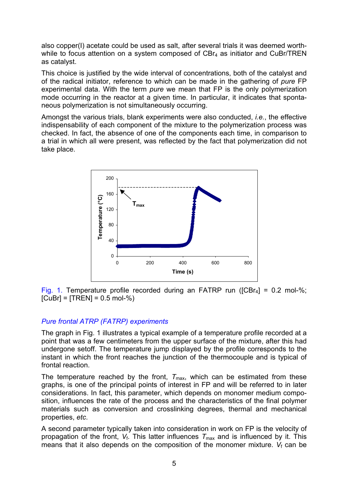also copper(I) acetate could be used as salt, after several trials it was deemed worthwhile to focus attention on a system composed of  $CBr<sub>4</sub>$  as initiator and CuBr/TREN as catalyst.

This choice is justified by the wide interval of concentrations, both of the catalyst and of the radical initiator, reference to which can be made in the gathering of *pure* FP experimental data. With the term *pure* we mean that FP is the only polymerization mode occurring in the reactor at a given time. In particular, it indicates that spontaneous polymerization is not simultaneously occurring.

Amongst the various trials, blank experiments were also conducted, *i.e.*, the effective indispensability of each component of the mixture to the polymerization process was checked. In fact, the absence of one of the components each time, in comparison to a trial in which all were present, was reflected by the fact that polymerization did not take place.



Fig. 1. Temperature profile recorded during an FATRP run ( $[CBr_4] = 0.2$  mol-%;  $[CuBr] = [TREN] = 0.5$  mol-%)

# *Pure frontal ATRP (FATRP) experiments*

The graph in Fig. 1 illustrates a typical example of a temperature profile recorded at a point that was a few centimeters from the upper surface of the mixture, after this had undergone setoff. The temperature jump displayed by the profile corresponds to the instant in which the front reaches the junction of the thermocouple and is typical of frontal reaction.

The temperature reached by the front,  $T_{\text{max}}$ , which can be estimated from these graphs, is one of the principal points of interest in FP and will be referred to in later considerations. In fact, this parameter, which depends on monomer medium composition, influences the rate of the process and the characteristics of the final polymer materials such as conversion and crosslinking degrees, thermal and mechanical properties, *etc*.

A second parameter typically taken into consideration in work on FP is the velocity of propagation of the front,  $V_f$ . This latter influences  $T_{\text{max}}$  and is influenced by it. This means that it also depends on the composition of the monomer mixture.  $V_f$  can be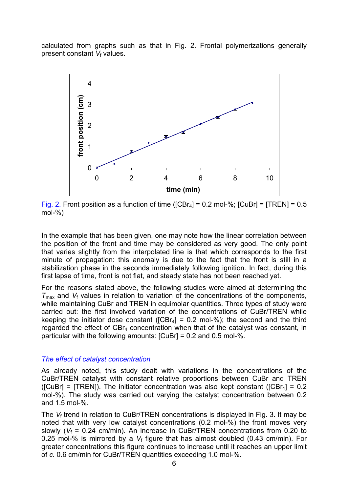calculated from graphs such as that in Fig. 2. Frontal polymerizations generally present constant *V<sub>f</sub>* values.



Fig. 2. Front position as a function of time ( $[CBr_4] = 0.2$  mol-%;  $[CuBr] = [TREN] = 0.5$ mol-%)

In the example that has been given, one may note how the linear correlation between the position of the front and time may be considered as very good. The only point that varies slightly from the interpolated line is that which corresponds to the first minute of propagation: this anomaly is due to the fact that the front is still in a stabilization phase in the seconds immediately following ignition. In fact, during this first lapse of time, front is not flat, and steady state has not been reached yet.

For the reasons stated above, the following studies were aimed at determining the  $T_{\text{max}}$  and  $V_f$  values in relation to variation of the concentrations of the components, while maintaining CuBr and TREN in equimolar quantities. Three types of study were carried out: the first involved variation of the concentrations of CuBr/TREN while keeping the initiator dose constant ( $[CBr_4] = 0.2$  mol-%); the second and the third regarded the effect of CBr4 concentration when that of the catalyst was constant, in particular with the following amounts:  $[C \cup Br] = 0.2$  and 0.5 mol-%.

#### *The effect of catalyst concentration*

As already noted, this study dealt with variations in the concentrations of the CuBr/TREN catalyst with constant relative proportions between CuBr and TREN  $(ICuBr1 = TRENI)$ . The initiator concentration was also kept constant  $(ICBr_4] = 0.2$ mol-%). The study was carried out varying the catalyst concentration between 0.2 and 1.5 mol-%.

The *V*f trend in relation to CuBr/TREN concentrations is displayed in Fig. 3. It may be noted that with very low catalyst concentrations (0.2 mol-%) the front moves very slowly ( $V_f$  = 0.24 cm/min). An increase in CuBr/TREN concentrations from 0.20 to 0.25 mol-% is mirrored by a *V*f figure that has almost doubled (0.43 cm/min). For greater concentrations this figure continues to increase until it reaches an upper limit of *c.* 0.6 cm/min for CuBr/TREN quantities exceeding 1.0 mol-%.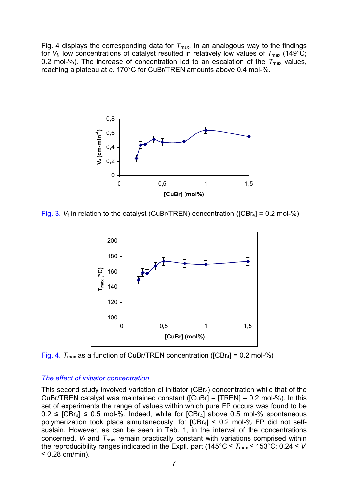Fig. 4 displays the corresponding data for  $T_{\text{max}}$ . In an analogous way to the findings for  $V_f$ , low concentrations of catalyst resulted in relatively low values of  $T_{\text{max}}$  (149°C; 0.2 mol-%). The increase of concentration led to an escalation of the  $T_{\text{max}}$  values, reaching a plateau at *c.* 170°C for CuBr/TREN amounts above 0.4 mol-%.



Fig. 3.  $V_f$  in relation to the catalyst (CuBr/TREN) concentration ( $[CBr_4] = 0.2$  mol-%)



Fig. 4.  $T_{\text{max}}$  as a function of CuBr/TREN concentration ( $[CBr_4] = 0.2$  mol-%)

## *The effect of initiator concentration*

This second study involved variation of initiator  $(CBr<sub>4</sub>)$  concentration while that of the CuBr/TREN catalyst was maintained constant ([CuBr] = [TREN] = 0.2 mol-%). In this set of experiments the range of values within which pure FP occurs was found to be  $0.2 \leq$  [CBr<sub>4</sub>]  $\leq$  0.5 mol-%. Indeed, while for [CBr<sub>4</sub>] above 0.5 mol-% spontaneous polymerization took place simultaneously, for  $[CBr_4] < 0.2$  mol-% FP did not selfsustain. However, as can be seen in Tab. 1, in the interval of the concentrations concerned,  $V_f$  and  $T_{\text{max}}$  remain practically constant with variations comprised within the reproducibility ranges indicated in the Exptl. part ( $145^{\circ}$ C  $\leq T_{\text{max}} \leq 153^{\circ}$ C; 0.24  $\leq V_f$ ≤ 0.28 cm/min).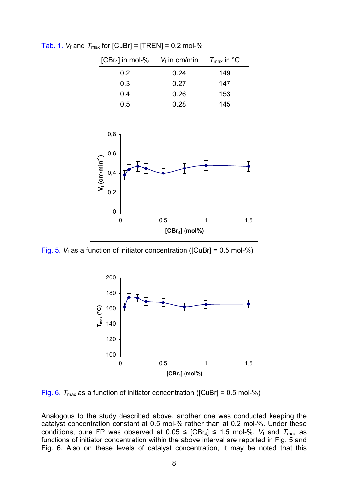| [CBr <sub>4</sub> ] in mol-% $V_f$ in cm/min $T_{\text{max}}$ in °C |      |     |
|---------------------------------------------------------------------|------|-----|
| $0.2^{\circ}$                                                       | 0.24 | 149 |
| 0.3                                                                 | 0.27 | 147 |
| 0.4                                                                 | 0.26 | 153 |
| 0.5                                                                 | 0.28 | 145 |

Tab. 1.  $V_f$  and  $T_{\text{max}}$  for  $\text{[CuBr]} = \text{[TREN]} = 0.2 \text{ mol-}\%$ 



Fig. 5.  $V_f$  as a function of initiator concentration ([CuBr] =  $0.5$  mol-%)



Fig. 6.  $T_{\text{max}}$  as a function of initiator concentration ( $[C \cup Br] = 0.5$  mol-%)

Analogous to the study described above, another one was conducted keeping the catalyst concentration constant at 0.5 mol-% rather than at 0.2 mol-%. Under these conditions, pure FP was observed at  $0.05 \leq$  [CBr<sub>4</sub>]  $\leq$  1.5 mol-%. *V*<sub>f</sub> and  $T_{\text{max}}$  as functions of initiator concentration within the above interval are reported in Fig. 5 and Fig. 6. Also on these levels of catalyst concentration, it may be noted that this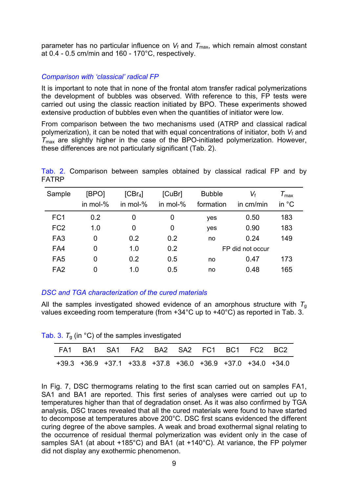parameter has no particular influence on  $V_f$  and  $T_{\text{max}}$ , which remain almost constant at 0.4 - 0.5 cm/min and 160 - 170°C, respectively.

## *Comparison with 'classical' radical FP*

It is important to note that in none of the frontal atom transfer radical polymerizations the development of bubbles was observed. With reference to this, FP tests were carried out using the classic reaction initiated by BPO. These experiments showed extensive production of bubbles even when the quantities of initiator were low.

From comparison between the two mechanisms used (ATRP and classical radical polymerization), it can be noted that with equal concentrations of initiator, both V<sub>f</sub> and *T*max are slightly higher in the case of the BPO-initiated polymerization. However, these differences are not particularly significant (Tab. 2).

Tab. 2. Comparison between samples obtained by classical radical FP and by FATRP

| Sample          | [BPO]       | $[CBr_4]$   | [CuBr]      | <b>Bubble</b> | $V_{\rm f}$      | $\tau_{\textsf{max}}$ |
|-----------------|-------------|-------------|-------------|---------------|------------------|-----------------------|
|                 | in mol- $%$ | in mol- $%$ | in mol- $%$ | formation     | in cm/min        | in $^{\circ}$ C       |
| FC <sub>1</sub> | 0.2         | 0           | 0           | yes           | 0.50             | 183                   |
| FC <sub>2</sub> | 1.0         | 0           | 0           | yes           | 0.90             | 183                   |
| FA <sub>3</sub> | 0           | 0.2         | 0.2         | no            | 0.24             | 149                   |
| FA4             | 0           | 1.0         | 0.2         |               | FP did not occur |                       |
| FA <sub>5</sub> | 0           | 0.2         | 0.5         | no            | 0.47             | 173                   |
| FA <sub>2</sub> | $\Omega$    | 1.0         | 0.5         | no            | 0.48             | 165                   |

# *DSC and TGA characterization of the cured materials*

All the samples investigated showed evidence of an amorphous structure with  $T<sub>g</sub>$ values exceeding room temperature (from +34°C up to +40°C) as reported in Tab. 3.

Tab. 3.  $T<sub>g</sub>$  (in  $^{\circ}$ C) of the samples investigated

| FA1 BA1 SA1 FA2 BA2 SA2 FC1 BC1 FC2 BC2 |  |  |  |                                                             |
|-----------------------------------------|--|--|--|-------------------------------------------------------------|
|                                         |  |  |  | +39.3 +36.9 +37.1 +33.8 +37.8 +36.0 +36.9 +37.0 +34.0 +34.0 |

In Fig. 7, DSC thermograms relating to the first scan carried out on samples FA1, SA1 and BA1 are reported. This first series of analyses were carried out up to temperatures higher than that of degradation onset. As it was also confirmed by TGA analysis, DSC traces revealed that all the cured materials were found to have started to decompose at temperatures above 200°C. DSC first scans evidenced the different curing degree of the above samples. A weak and broad exothermal signal relating to the occurrence of residual thermal polymerization was evident only in the case of samples SA1 (at about +185°C) and BA1 (at +140°C). At variance, the FP polymer did not display any exothermic phenomenon.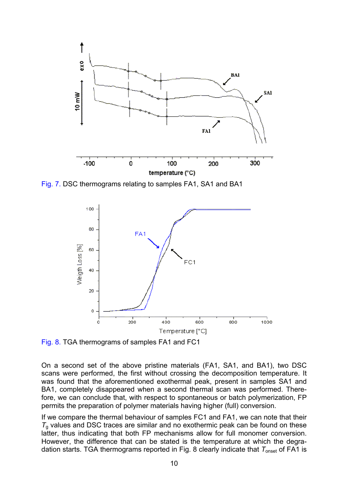

Fig. 7. DSC thermograms relating to samples FA1, SA1 and BA1



Fig. 8. TGA thermograms of samples FA1 and FC1

On a second set of the above pristine materials (FA1, SA1, and BA1), two DSC scans were performed, the first without crossing the decomposition temperature. It was found that the aforementioned exothermal peak, present in samples SA1 and BA1, completely disappeared when a second thermal scan was performed. Therefore, we can conclude that, with respect to spontaneous or batch polymerization, FP permits the preparation of polymer materials having higher (full) conversion.

If we compare the thermal behaviour of samples FC1 and FA1, we can note that their  $T<sub>a</sub>$  values and DSC traces are similar and no exothermic peak can be found on these latter, thus indicating that both FP mechanisms allow for full monomer conversion. However, the difference that can be stated is the temperature at which the degradation starts. TGA thermograms reported in Fig. 8 clearly indicate that  $T_{onset}$  of FA1 is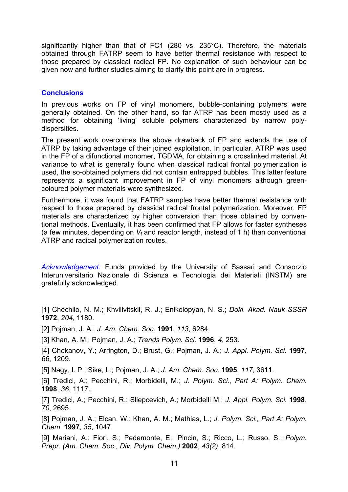significantly higher than that of FC1 (280 vs. 235°C). Therefore, the materials obtained through FATRP seem to have better thermal resistance with respect to those prepared by classical radical FP. No explanation of such behaviour can be given now and further studies aiming to clarify this point are in progress.

#### **Conclusions**

In previous works on FP of vinyl monomers, bubble-containing polymers were generally obtained. On the other hand, so far ATRP has been mostly used as a method for obtaining 'living' soluble polymers characterized by narrow polydispersities.

The present work overcomes the above drawback of FP and extends the use of ATRP by taking advantage of their joined exploitation. In particular, ATRP was used in the FP of a difunctional monomer, TGDMA, for obtaining a crosslinked material. At variance to what is generally found when classical radical frontal polymerization is used, the so-obtained polymers did not contain entrapped bubbles. This latter feature represents a significant improvement in FP of vinyl monomers although greencoloured polymer materials were synthesized.

Furthermore, it was found that FATRP samples have better thermal resistance with respect to those prepared by classical radical frontal polymerization. Moreover, FP materials are characterized by higher conversion than those obtained by conventional methods. Eventually, it has been confirmed that FP allows for faster syntheses (a few minutes, depending on *V*f and reactor length, instead of 1 h) than conventional ATRP and radical polymerization routes.

*Acknowledgement:* Funds provided by the University of Sassari and Consorzio Interuniversitario Nazionale di Scienza e Tecnologia dei Materiali (INSTM) are gratefully acknowledged.

[1] Chechilo, N. M.; Khvilivitskii, R. J.; Enikolopyan, N. S.; *Dokl. Akad. Nauk SSSR*  **1972**, *204*, 1180.

[2] Pojman, J. A.; *J. Am. Chem. Soc.* **1991**, *113*, 6284.

[3] Khan, A. M.; Pojman, J. A.; *Trends Polym. Sci.* **1996**, *4*, 253.

[4] Chekanov, Y.; Arrington, D.; Brust, G.; Pojman, J. A.; *J. Appl. Polym. Sci.* **1997**, *66*, 1209.

[5] Nagy, I. P.; Sike, L.; Pojman, J. A.; *J. Am. Chem. Soc.* **1995**, *117*, 3611.

[6] Tredici, A.; Pecchini, R.; Morbidelli, M.; *J. Polym. Sci., Part A: Polym. Chem.* **1998**, *36*, 1117.

[7] Tredici, A.; Pecchini, R.; Sliepcevich, A.; Morbidelli M.; *J. Appl. Polym. Sci.* **1998**, *70*, 2695.

[8] Pojman, J. A.; Elcan, W.; Khan, A. M.; Mathias, L.; *J. Polym. Sci., Part A: Polym. Chem.* **1997**, *35*, 1047.

[9] Mariani, A.; Fiori, S.; Pedemonte, E.; Pincin, S.; Ricco, L.; Russo, S.; *Polym. Prepr. (Am. Chem. Soc., Div. Polym. Chem.)* **2002**, *43(2)*, 814.